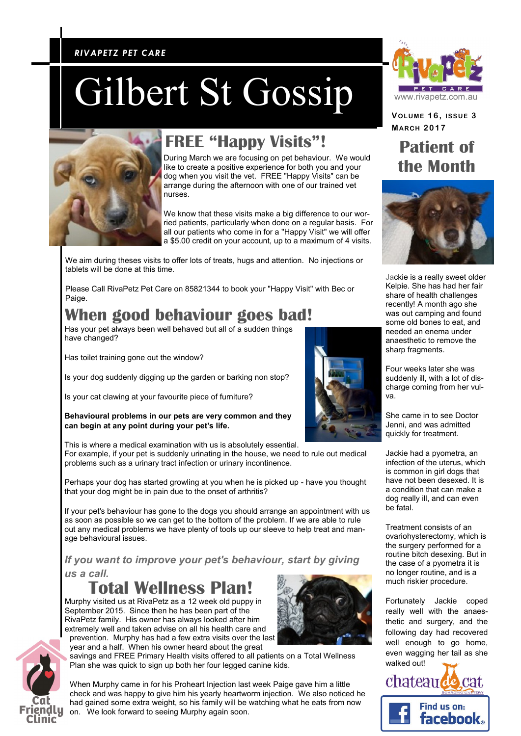### *RIVAPETZ PET CARE RIVAPETZ PET CARE*

# Gilbert St Gossip



## **FREE "Happy Visits"!**

During March we are focusing on pet behaviour. We would like to create a positive experience for both you and your dog when you visit the vet. FREE "Happy Visits" can be arrange during the afternoon with one of our trained vet nurses.

We know that these visits make a big difference to our worried patients, particularly when done on a regular basis. For all our patients who come in for a "Happy Visit" we will offer a \$5.00 credit on your account, up to a maximum of 4 visits.

We aim during theses visits to offer lots of treats, hugs and attention. No injections or tablets will be done at this time.

Please Call RivaPetz Pet Care on 85821344 to book your "Happy Visit" with Bec or Paige.

## **When good behaviour goes bad!**

Has your pet always been well behaved but all of a sudden things have changed?

Has toilet training gone out the window?

Is your dog suddenly digging up the garden or barking non stop?

Is your cat clawing at your favourite piece of furniture?

**Behavioural problems in our pets are very common and they can begin at any point during your pet's life.**

This is where a medical examination with us is absolutely essential. For example, if your pet is suddenly urinating in the house, we need to rule out medical problems such as a urinary tract infection or urinary incontinence.

Perhaps your dog has started growling at you when he is picked up - have you thought that your dog might be in pain due to the onset of arthritis?

If your pet's behaviour has gone to the dogs you should arrange an appointment with us as soon as possible so we can get to the bottom of the problem. If we are able to rule out any medical problems we have plenty of tools up our sleeve to help treat and manage behavioural issues.

*If you want to improve your pet's behaviour, start by giving* 

*us a call.*

**Total Wellness Plan!**

Murphy visited us at RivaPetz as a 12 week old puppy in September 2015. Since then he has been part of the RivaPetz family. His owner has always looked after him extremely well and taken advise on all his health care and

prevention. Murphy has had a few extra visits over the last year and a half. When his owner heard about the great

savings and FREE Primary Health visits offered to all patients on a Total Wellness Plan she was quick to sign up both her four legged canine kids.

When Murphy came in for his Proheart Injection last week Paige gave him a little check and was happy to give him his yearly heartworm injection. We also noticed he had gained some extra weight, so his family will be watching what he eats from now on. We look forward to seeing Murphy again soon.



**VOLUME 1 6 , ISSUE 3 MAR CH 2017**

## **Patient of the Month**



Jackie is a really sweet older Kelpie. She has had her fair share of health challenges recently! A month ago she was out camping and found some old bones to eat, and needed an enema under anaesthetic to remove the sharp fragments.

Four weeks later she was suddenly ill, with a lot of discharge coming from her vulva.

She came in to see Doctor Jenni, and was admitted quickly for treatment.

Jackie had a pyometra, an infection of the uterus, which is common in girl dogs that have not been desexed. It is a condition that can make a dog really ill, and can even be fatal.

Treatment consists of an ovariohysterectomy, which is the surgery performed for a routine bitch desexing. But in the case of a pyometra it is no longer routine, and is a much riskier procedure.

Fortunately Jackie coped really well with the anaesthetic and surgery, and the following day had recovered well enough to go home, even wagging her tail as she walked out!